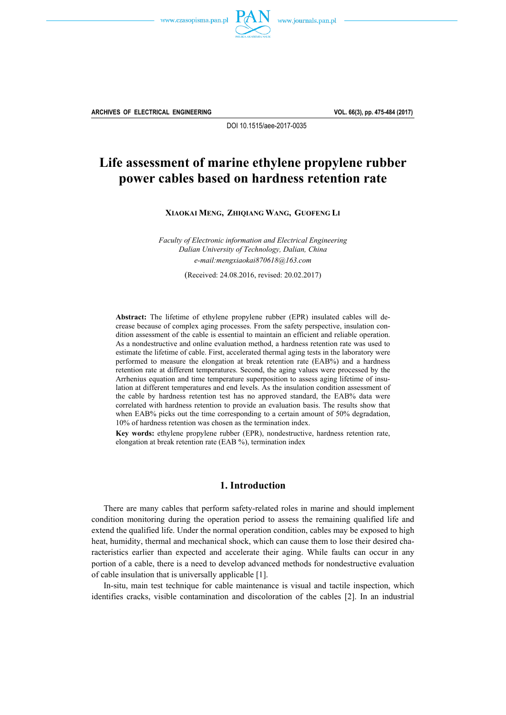



**ARCHIVES OF ELECTRICAL ENGINEERING VOL. 66(3), pp. 475-484 (2017)**

DOI 10.1515/aee-2017-0035

# **Life assessment of marine ethylene propylene rubber power cables based on hardness retention rate**

**XIAOKAI MENG, ZHIQIANG WANG, GUOFENG LI** 

*Faculty of Electronic information and Electrical Engineering Dalian University of Technology, Dalian, China e-mail:mengxiaokai870618@163.com* 

(Received: 24.08.2016, revised: 20.02.2017)

**Abstract:** The lifetime of ethylene propylene rubber (EPR) insulated cables will decrease because of complex aging processes. From the safety perspective, insulation condition assessment of the cable is essential to maintain an efficient and reliable operation. As a nondestructive and online evaluation method, a hardness retention rate was used to estimate the lifetime of cable. First, accelerated thermal aging tests in the laboratory were performed to measure the elongation at break retention rate (EAB%) and a hardness retention rate at different temperatures. Second, the aging values were processed by the Arrhenius equation and time temperature superposition to assess aging lifetime of insulation at different temperatures and end levels. As the insulation condition assessment of the cable by hardness retention test has no approved standard, the EAB% data were correlated with hardness retention to provide an evaluation basis. The results show that when EAB% picks out the time corresponding to a certain amount of 50% degradation, 10% of hardness retention was chosen as the termination index.

**Key words:** ethylene propylene rubber (EPR), nondestructive, hardness retention rate, elongation at break retention rate (EAB %), termination index

### **1. Introduction**

 There are many cables that perform safety-related roles in marine and should implement condition monitoring during the operation period to assess the remaining qualified life and extend the qualified life. Under the normal operation condition, cables may be exposed to high heat, humidity, thermal and mechanical shock, which can cause them to lose their desired characteristics earlier than expected and accelerate their aging. While faults can occur in any portion of a cable, there is a need to develop advanced methods for nondestructive evaluation of cable insulation that is universally applicable [1].

 In-situ, main test technique for cable maintenance is visual and tactile inspection, which identifies cracks, visible contamination and discoloration of the cables [2]. In an industrial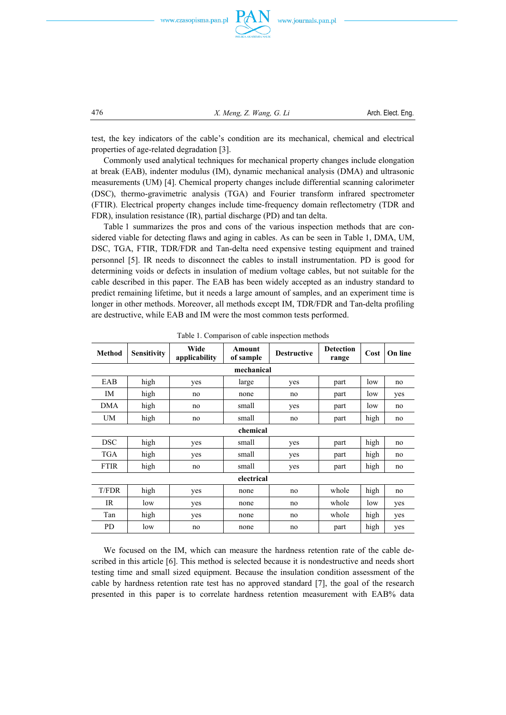



476 *X. Meng, Z. Wang, G. Li* Arch. Elect. Eng.

test, the key indicators of the cable's condition are its mechanical, chemical and electrical properties of age-related degradation [3].

 Commonly used analytical techniques for mechanical property changes include elongation at break (EAB), indenter modulus (IM), dynamic mechanical analysis (DMA) and ultrasonic measurements (UM) [4]. Chemical property changes include differential scanning calorimeter (DSC), thermo-gravimetric analysis (TGA) and Fourier transform infrared spectrometer (FTIR). Electrical property changes include time-frequency domain reflectometry (TDR and FDR), insulation resistance (IR), partial discharge (PD) and tan delta.

 Table 1 summarizes the pros and cons of the various inspection methods that are considered viable for detecting flaws and aging in cables. As can be seen in Table 1, DMA, UM, DSC, TGA, FTIR, TDR/FDR and Tan-delta need expensive testing equipment and trained personnel [5]. IR needs to disconnect the cables to install instrumentation. PD is good for determining voids or defects in insulation of medium voltage cables, but not suitable for the cable described in this paper. The EAB has been widely accepted as an industry standard to predict remaining lifetime, but it needs a large amount of samples, and an experiment time is longer in other methods. Moreover, all methods except IM, TDR/FDR and Tan-delta profiling are destructive, while EAB and IM were the most common tests performed.

| <b>Method</b> | <b>Sensitivity</b> | Wide<br>applicability | Amount<br>of sample  | <b>Destructive</b> | <b>Detection</b><br>range | Cost | On line |  |  |  |  |
|---------------|--------------------|-----------------------|----------------------|--------------------|---------------------------|------|---------|--|--|--|--|
|               | mechanical         |                       |                      |                    |                           |      |         |  |  |  |  |
| EAB           | high               | yes                   | large                | yes                | part                      | low  | no      |  |  |  |  |
| IM            | high               | no                    | none                 | no                 | part                      | low  | yes     |  |  |  |  |
| <b>DMA</b>    | high               | no                    | small                | yes                | part                      | low  | no      |  |  |  |  |
| UM            | high               | no                    | small                | no                 | part                      | high | no      |  |  |  |  |
|               | chemical           |                       |                      |                    |                           |      |         |  |  |  |  |
| <b>DSC</b>    | high               | yes                   | small                | yes                | part                      | high | no      |  |  |  |  |
| TGA           | high               | yes                   | small<br>part<br>yes |                    | high                      | no   |         |  |  |  |  |
| <b>FTIR</b>   | high               | no                    | small                | yes                | part                      | high | no      |  |  |  |  |
|               | electrical         |                       |                      |                    |                           |      |         |  |  |  |  |
| T/FDR         | high               | yes                   | none                 | no                 | whole                     | high | no      |  |  |  |  |
| IR.           | low                | yes                   | none                 | no                 | whole                     | low  | yes     |  |  |  |  |
| Tan           | high               | yes                   | none                 | whole<br>no        |                           | high | yes     |  |  |  |  |
| PD            | low                | no                    | part<br>none<br>no   |                    | high                      | yes  |         |  |  |  |  |

Table 1. Comparison of cable inspection methods

 We focused on the IM, which can measure the hardness retention rate of the cable described in this article [6]. This method is selected because it is nondestructive and needs short testing time and small sized equipment. Because the insulation condition assessment of the cable by hardness retention rate test has no approved standard [7], the goal of the research presented in this paper is to correlate hardness retention measurement with EAB% data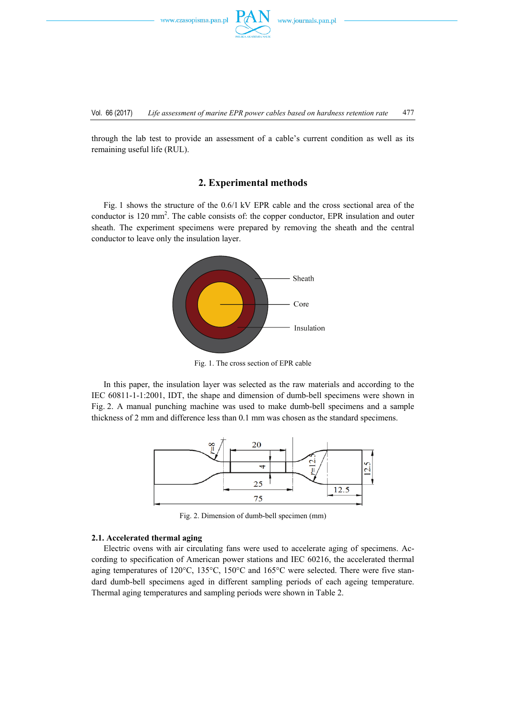www.czasopisma.pan.pl

through the lab test to provide an assessment of a cable's current condition as well as its remaining useful life (RUL).

## **2. Experimental methods**

 Fig. 1 shows the structure of the 0.6/1 kV EPR cable and the cross sectional area of the conductor is 120 mm<sup>2</sup>. The cable consists of: the copper conductor, EPR insulation and outer sheath. The experiment specimens were prepared by removing the sheath and the central conductor to leave only the insulation layer.



Fig. 1. The cross section of EPR cable

 In this paper, the insulation layer was selected as the raw materials and according to the IEC 60811-1-1:2001, IDT, the shape and dimension of dumb-bell specimens were shown in Fig. 2. A manual punching machine was used to make dumb-bell specimens and a sample thickness of 2 mm and difference less than 0.1 mm was chosen as the standard specimens.



Fig. 2. Dimension of dumb-bell specimen (mm)

#### **2.1. Accelerated thermal aging**

 Electric ovens with air circulating fans were used to accelerate aging of specimens. According to specification of American power stations and IEC 60216, the accelerated thermal aging temperatures of 120°C, 135°C, 150°C and 165°C were selected. There were five standard dumb-bell specimens aged in different sampling periods of each ageing temperature. Thermal aging temperatures and sampling periods were shown in Table 2.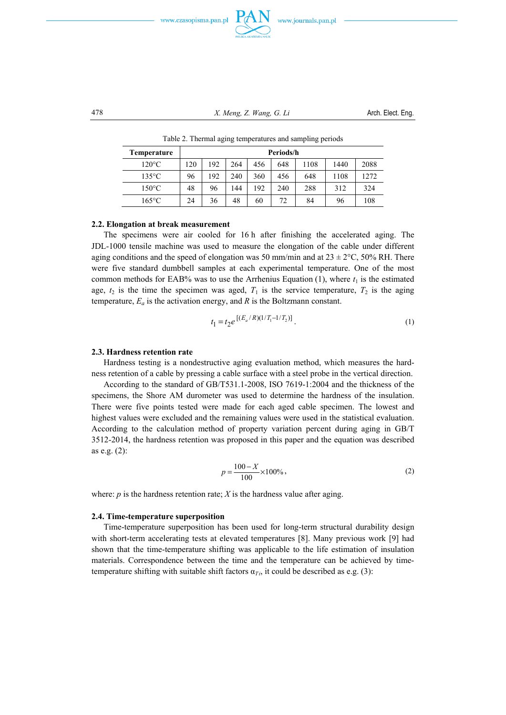





478 *X. Meng, Z. Wang, G. Li* Arch. Elect. Eng.

| Temperature     | Periods/h |     |     |     |     |      |      |      |
|-----------------|-----------|-----|-----|-----|-----|------|------|------|
| $120^{\circ}$ C | 120       | 192 | 264 | 456 | 648 | 1108 | 1440 | 2088 |
| $135^{\circ}$ C | 96        | 192 | 240 | 360 | 456 | 648  | 1108 | 1272 |
| $150^{\circ}$ C | 48        | 96  | 144 | 192 | 240 | 288  | 312  | 324  |
| $165^{\circ}$ C | 24        | 36  | 48  | 60  | 72  | 84   | 96   | 108  |

Table 2. Thermal aging temperatures and sampling periods

#### **2.2. Elongation at break measurement**

 The specimens were air cooled for 16 h after finishing the accelerated aging. The JDL-1000 tensile machine was used to measure the elongation of the cable under different aging conditions and the speed of elongation was 50 mm/min and at  $23 \pm 2^{\circ}$ C, 50% RH. There were five standard dumbbell samples at each experimental temperature. One of the most common methods for EAB% was to use the Arrhenius Equation (1), where  $t_1$  is the estimated age,  $t_2$  is the time the specimen was aged,  $T_1$  is the service temperature,  $T_2$  is the aging temperature, *Ea* is the activation energy, and *R* is the Boltzmann constant.

$$
t_1 = t_2 e^{\left[ (E_a/R)(1/T_1 - 1/T_2) \right]}.
$$
 (1)

#### **2.3. Hardness retention rate**

 Hardness testing is a nondestructive aging evaluation method, which measures the hardness retention of a cable by pressing a cable surface with a steel probe in the vertical direction.

 According to the standard of GB/T531.1-2008, ISO 7619-1:2004 and the thickness of the specimens, the Shore AM durometer was used to determine the hardness of the insulation. There were five points tested were made for each aged cable specimen. The lowest and highest values were excluded and the remaining values were used in the statistical evaluation. According to the calculation method of property variation percent during aging in GB/T 3512-2014, the hardness retention was proposed in this paper and the equation was described as e.g. (2):

$$
p = \frac{100 - X}{100} \times 100\%,\tag{2}
$$

where:  $p$  is the hardness retention rate;  $X$  is the hardness value after aging.

#### **2.4. Time-temperature superposition**

 Time-temperature superposition has been used for long-term structural durability design with short-term accelerating tests at elevated temperatures [8]. Many previous work [9] had shown that the time-temperature shifting was applicable to the life estimation of insulation materials. Correspondence between the time and the temperature can be achieved by timetemperature shifting with suitable shift factors  $\alpha_{Ti}$ , it could be described as e.g. (3):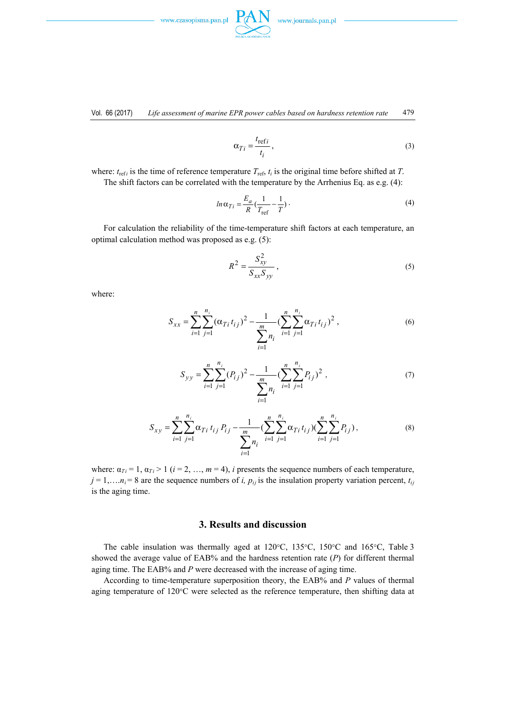



$$
\alpha_{Ti} = \frac{t_{\text{ref}i}}{t_i},\tag{3}
$$

where:  $t_{\text{ref}i}$  is the time of reference temperature  $T_{\text{ref}i}$ ,  $t_i$  is the original time before shifted at *T*. The shift factors can be correlated with the temperature by the Arrhenius Eq. as e.g. (4):

$$
ln \alpha_{Ti} = \frac{E_a}{R} \left( \frac{1}{T_{\text{ref}}} - \frac{1}{T} \right). \tag{4}
$$

 For calculation the reliability of the time-temperature shift factors at each temperature, an optimal calculation method was proposed as e.g. (5):

$$
R^2 = \frac{S_{xy}^2}{S_{xx}S_{yy}},
$$
\n(5)

where:

$$
S_{xx} = \sum_{i=1}^{n} \sum_{j=1}^{n_i} (\alpha_{Ti} t_{ij})^2 - \frac{1}{\sum_{i=1}^{m} n_i} (\sum_{i=1}^{n} \sum_{j=1}^{n_i} \alpha_{Ti} t_{ij})^2,
$$
(6)

$$
S_{yy} = \sum_{i=1}^{n} \sum_{j=1}^{n_i} (P_{ij})^2 - \frac{1}{\sum_{i=1}^{m} n_i} (\sum_{i=1}^{n} \sum_{j=1}^{n_i} P_{ij})^2 ,
$$
 (7)

$$
S_{xy} = \sum_{i=1}^{n} \sum_{j=1}^{n_i} \alpha_{Ti} t_{ij} P_{ij} - \frac{1}{\sum_{i=1}^{m} n_i} (\sum_{i=1}^{n} \sum_{j=1}^{n_i} \alpha_{Ti} t_{ij}) (\sum_{i=1}^{n} \sum_{j=1}^{n_i} P_{ij}),
$$
(8)

where:  $\alpha_{Ti} = 1$ ,  $\alpha_{Ti} > 1$  (*i* = 2, …, *m* = 4), *i* presents the sequence numbers of each temperature,  $j = 1,..., n<sub>i</sub> = 8$  are the sequence numbers of *i*,  $p<sub>ij</sub>$  is the insulation property variation percent,  $t<sub>ij</sub>$ is the aging time.

### **3. Results and discussion**

 The cable insulation was thermally aged at 120°C, 135°C, 150°C and 165°C, Table 3 showed the average value of EAB% and the hardness retention rate (*P*) for different thermal aging time. The EAB% and *P* were decreased with the increase of aging time.

 According to time-temperature superposition theory, the EAB% and *P* values of thermal aging temperature of 120°C were selected as the reference temperature, then shifting data at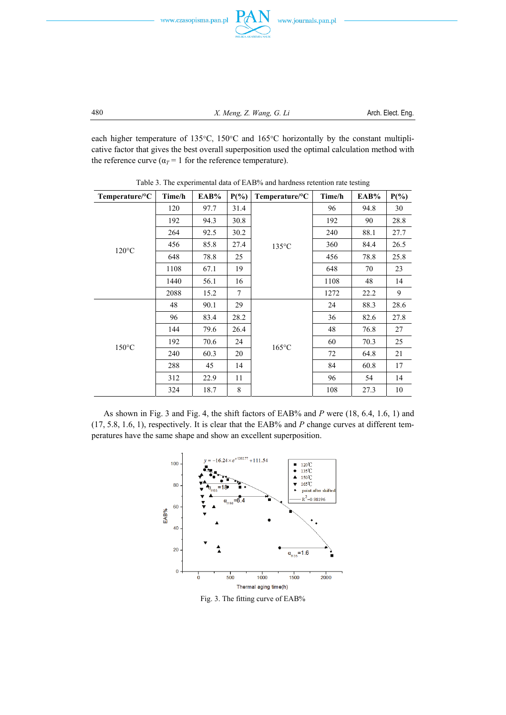

480 *X. Meng, Z. Wang, G. Li* Arch. Elect. Eng.

each higher temperature of 135°C, 150°C and 165°C horizontally by the constant multiplicative factor that gives the best overall superposition used the optimal calculation method with the reference curve ( $\alpha_T$  = 1 for the reference temperature).

| Temperature/°C  | Time/h | EAB% | $P(\%)$ | Temperature/ ${}^{\circ}C$ | Time/h | EAB% | $P(\%)$ |
|-----------------|--------|------|---------|----------------------------|--------|------|---------|
|                 | 120    | 97.7 | 31.4    |                            | 96     | 94.8 | 30      |
|                 | 192    | 94.3 | 30.8    |                            | 192    | 90   | 28.8    |
|                 | 264    | 92.5 | 30.2    | $135^{\circ}$ C            | 240    | 88.1 | 27.7    |
|                 | 456    | 85.8 | 27.4    |                            | 360    | 84.4 | 26.5    |
| $120^{\circ}$ C | 648    | 78.8 | 25      |                            | 456    | 78.8 | 25.8    |
|                 | 1108   | 67.1 | 19      |                            | 648    | 70   | 23      |
|                 | 1440   | 56.1 | 16      |                            | 1108   | 48   | 14      |
|                 | 2088   | 15.2 | 7       |                            | 1272   | 22.2 | 9       |
|                 | 48     | 90.1 | 29      |                            | 24     | 88.3 | 28.6    |
|                 | 96     | 83.4 | 28.2    |                            | 36     | 82.6 | 27.8    |
|                 | 144    | 79.6 | 26.4    |                            | 48     | 76.8 | 27      |
| $150^{\circ}$ C | 192    | 70.6 | 24      | $165^{\circ}$ C            | 60     | 70.3 | 25      |
|                 | 240    | 60.3 | 20      |                            | 72     | 64.8 | 21      |
|                 | 288    | 45   | 14      |                            | 84     | 60.8 | 17      |
|                 | 312    | 22.9 | 11      |                            | 96     | 54   | 14      |
|                 | 324    | 18.7 | 8       |                            | 108    | 27.3 | 10      |

Table 3. The experimental data of EAB% and hardness retention rate testing

 As shown in Fig. 3 and Fig. 4, the shift factors of EAB% and *P* were (18, 6.4, 1.6, 1) and (17, 5.8, 1.6, 1), respectively. It is clear that the EAB% and *P* change curves at different temperatures have the same shape and show an excellent superposition.



Fig. 3. The fitting curve of EAB%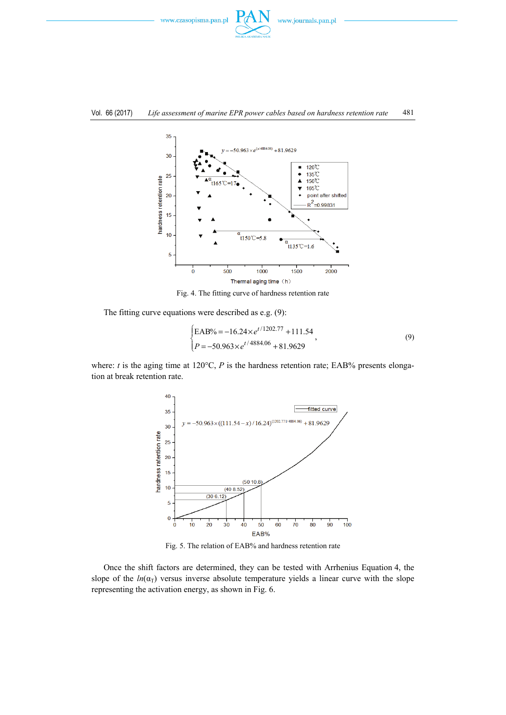



Fig. 4. The fitting curve of hardness retention rate

The fitting curve equations were described as e.g. (9):

$$
\begin{cases}\n\text{EAB\%} = -16.24 \times e^{t/1202.77} + 111.54 \\
P = -50.963 \times e^{t/4884.06} + 81.9629\n\end{cases}
$$
\n(9)

where: *t* is the aging time at  $120^{\circ}$ C, *P* is the hardness retention rate; EAB% presents elongation at break retention rate.



Fig. 5. The relation of EAB% and hardness retention rate

 Once the shift factors are determined, they can be tested with Arrhenius Equation 4, the slope of the  $ln(\alpha_T)$  versus inverse absolute temperature yields a linear curve with the slope representing the activation energy, as shown in Fig. 6.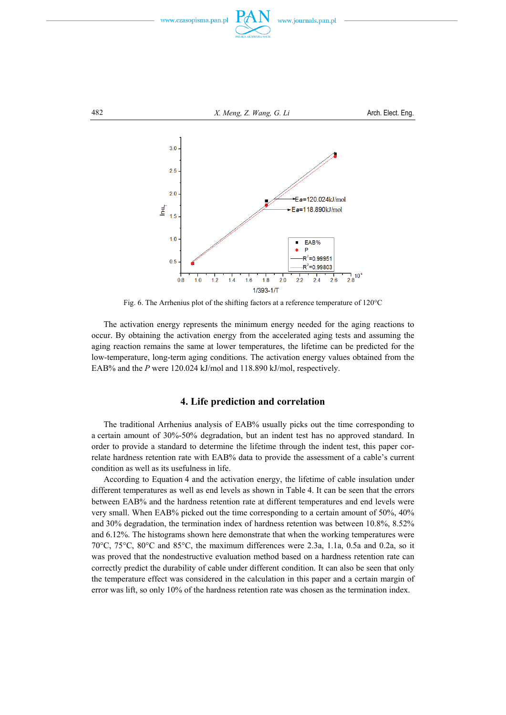



Fig. 6. The Arrhenius plot of the shifting factors at a reference temperature of 120°C

 The activation energy represents the minimum energy needed for the aging reactions to occur. By obtaining the activation energy from the accelerated aging tests and assuming the aging reaction remains the same at lower temperatures, the lifetime can be predicted for the low-temperature, long-term aging conditions. The activation energy values obtained from the EAB% and the *P* were 120.024 kJ/mol and 118.890 kJ/mol, respectively.

### **4. Life prediction and correlation**

 The traditional Arrhenius analysis of EAB% usually picks out the time corresponding to a certain amount of 30%-50% degradation, but an indent test has no approved standard. In order to provide a standard to determine the lifetime through the indent test, this paper correlate hardness retention rate with EAB% data to provide the assessment of a cable's current condition as well as its usefulness in life.

 According to Equation 4 and the activation energy, the lifetime of cable insulation under different temperatures as well as end levels as shown in Table 4. It can be seen that the errors between EAB% and the hardness retention rate at different temperatures and end levels were very small. When EAB% picked out the time corresponding to a certain amount of 50%, 40% and 30% degradation, the termination index of hardness retention was between 10.8%, 8.52% and 6.12%. The histograms shown here demonstrate that when the working temperatures were 70°C, 75°C, 80°C and 85°C, the maximum differences were 2.3a, 1.1a, 0.5a and 0.2a, so it was proved that the nondestructive evaluation method based on a hardness retention rate can correctly predict the durability of cable under different condition. It can also be seen that only the temperature effect was considered in the calculation in this paper and a certain margin of error was lift, so only 10% of the hardness retention rate was chosen as the termination index.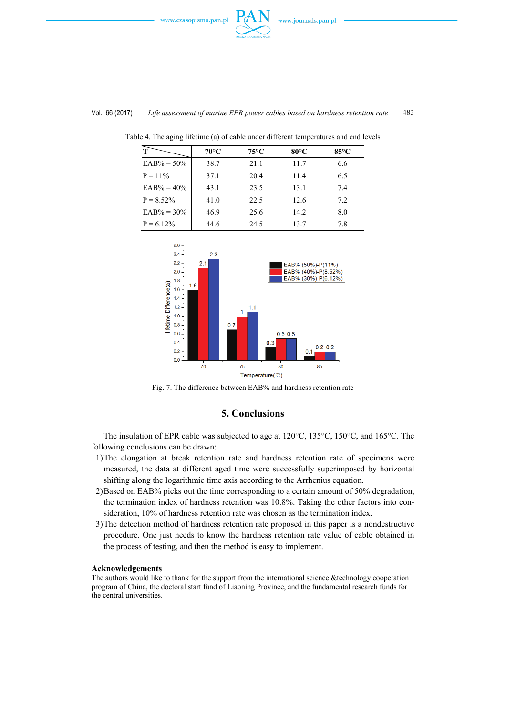



| T              | $70^{\circ}$ C | $75^{\circ}$ C | $80^{\circ}$ C | $85^{\circ}$ C |
|----------------|----------------|----------------|----------------|----------------|
| $EAB\% = 50\%$ | 38.7           | 21.1           | 11.7           | 6.6            |
| $P = 11\%$     | 37.1           | 20.4           | 11.4           | 6.5            |
| $EAB% = 40%$   | 43.1           | 23.5           | 13.1           | 7.4            |
| $P = 8.52\%$   | 41.0           | 22.5           | 12.6           | 7.2            |
| $EAB\% = 30\%$ | 46.9           | 25.6           | 14.2           | 8.0            |
| $P = 6.12\%$   | 44.6           | 24.5           | 13.7           | 7.8            |

Table 4. The aging lifetime (a) of cable under different temperatures and end levels



Fig. 7. The difference between EAB% and hardness retention rate

### **5. Conclusions**

 The insulation of EPR cable was subjected to age at 120°C, 135°C, 150°C, and 165°C. The following conclusions can be drawn:

- 1) The elongation at break retention rate and hardness retention rate of specimens were measured, the data at different aged time were successfully superimposed by horizontal shifting along the logarithmic time axis according to the Arrhenius equation.
- 2) Based on EAB% picks out the time corresponding to a certain amount of 50% degradation, the termination index of hardness retention was 10.8%. Taking the other factors into consideration, 10% of hardness retention rate was chosen as the termination index.
- 3) The detection method of hardness retention rate proposed in this paper is a nondestructive procedure. One just needs to know the hardness retention rate value of cable obtained in the process of testing, and then the method is easy to implement.

#### **Acknowledgements**

The authors would like to thank for the support from the international science &technology cooperation program of China, the doctoral start fund of Liaoning Province, and the fundamental research funds for the central universities.